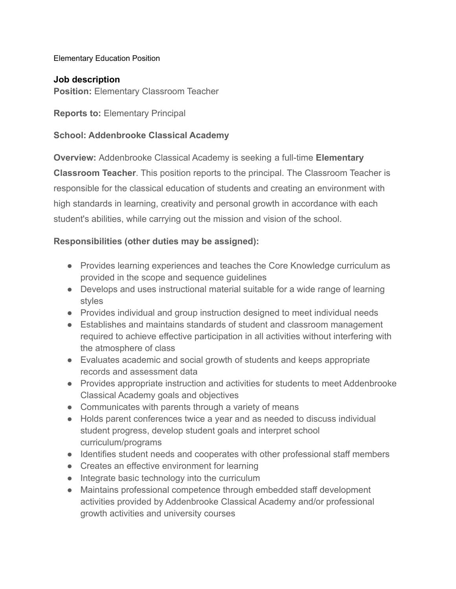#### Elementary Education Position

#### **Job description**

**Position:** Elementary Classroom Teacher

**Reports to:** Elementary Principal

#### **School: Addenbrooke Classical Academy**

**Overview:** Addenbrooke Classical Academy is seeking a full-time **Elementary Classroom Teacher**. This position reports to the principal. The Classroom Teacher is responsible for the classical education of students and creating an environment with high standards in learning, creativity and personal growth in accordance with each student's abilities, while carrying out the mission and vision of the school.

#### **Responsibilities (other duties may be assigned):**

- Provides learning experiences and teaches the Core Knowledge curriculum as provided in the scope and sequence guidelines
- Develops and uses instructional material suitable for a wide range of learning styles
- Provides individual and group instruction designed to meet individual needs
- Establishes and maintains standards of student and classroom management required to achieve effective participation in all activities without interfering with the atmosphere of class
- Evaluates academic and social growth of students and keeps appropriate records and assessment data
- Provides appropriate instruction and activities for students to meet Addenbrooke Classical Academy goals and objectives
- Communicates with parents through a variety of means
- Holds parent conferences twice a year and as needed to discuss individual student progress, develop student goals and interpret school curriculum/programs
- Identifies student needs and cooperates with other professional staff members
- Creates an effective environment for learning
- Integrate basic technology into the curriculum
- Maintains professional competence through embedded staff development activities provided by Addenbrooke Classical Academy and/or professional growth activities and university courses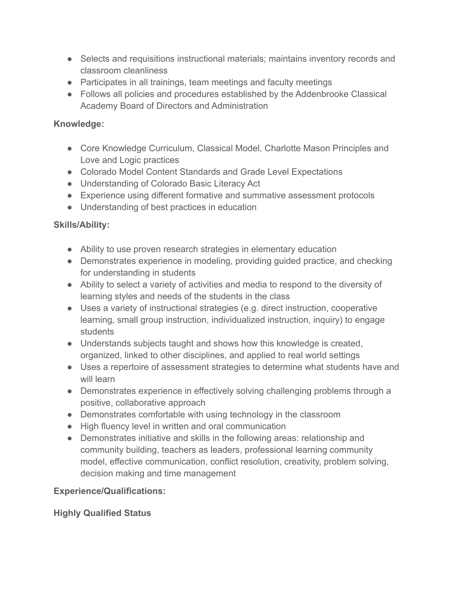- Selects and requisitions instructional materials; maintains inventory records and classroom cleanliness
- Participates in all trainings, team meetings and faculty meetings
- Follows all policies and procedures established by the Addenbrooke Classical Academy Board of Directors and Administration

## **Knowledge:**

- Core Knowledge Curriculum, Classical Model, Charlotte Mason Principles and Love and Logic practices
- Colorado Model Content Standards and Grade Level Expectations
- Understanding of Colorado Basic Literacy Act
- Experience using different formative and summative assessment protocols
- Understanding of best practices in education

# **Skills/Ability:**

- Ability to use proven research strategies in elementary education
- Demonstrates experience in modeling, providing guided practice, and checking for understanding in students
- Ability to select a variety of activities and media to respond to the diversity of learning styles and needs of the students in the class
- Uses a variety of instructional strategies (e.g. direct instruction, cooperative learning, small group instruction, individualized instruction, inquiry) to engage students
- Understands subjects taught and shows how this knowledge is created, organized, linked to other disciplines, and applied to real world settings
- Uses a repertoire of assessment strategies to determine what students have and will learn
- Demonstrates experience in effectively solving challenging problems through a positive, collaborative approach
- Demonstrates comfortable with using technology in the classroom
- High fluency level in written and oral communication
- Demonstrates initiative and skills in the following areas: relationship and community building, teachers as leaders, professional learning community model, effective communication, conflict resolution, creativity, problem solving, decision making and time management

## **Experience/Qualifications:**

## **Highly Qualified Status**